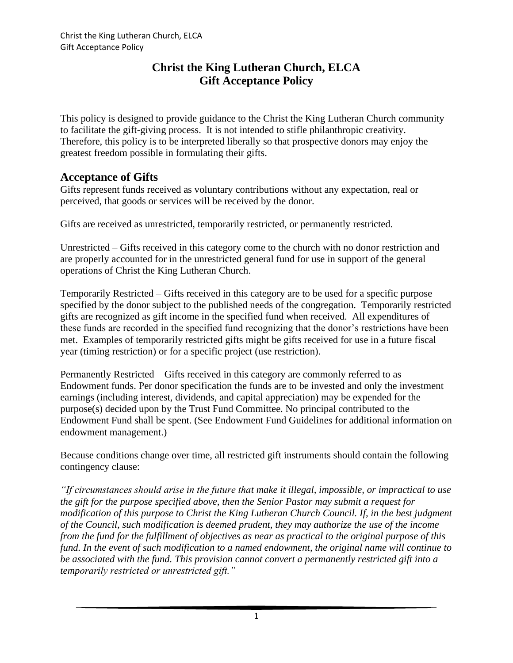This policy is designed to provide guidance to the Christ the King Lutheran Church community to facilitate the gift-giving process. It is not intended to stifle philanthropic creativity. Therefore, this policy is to be interpreted liberally so that prospective donors may enjoy the greatest freedom possible in formulating their gifts.

### **Acceptance of Gifts**

Gifts represent funds received as voluntary contributions without any expectation, real or perceived, that goods or services will be received by the donor.

Gifts are received as unrestricted, temporarily restricted, or permanently restricted.

Unrestricted – Gifts received in this category come to the church with no donor restriction and are properly accounted for in the unrestricted general fund for use in support of the general operations of Christ the King Lutheran Church.

Temporarily Restricted – Gifts received in this category are to be used for a specific purpose specified by the donor subject to the published needs of the congregation. Temporarily restricted gifts are recognized as gift income in the specified fund when received. All expenditures of these funds are recorded in the specified fund recognizing that the donor's restrictions have been met. Examples of temporarily restricted gifts might be gifts received for use in a future fiscal year (timing restriction) or for a specific project (use restriction).

Permanently Restricted – Gifts received in this category are commonly referred to as Endowment funds. Per donor specification the funds are to be invested and only the investment earnings (including interest, dividends, and capital appreciation) may be expended for the purpose(s) decided upon by the Trust Fund Committee. No principal contributed to the Endowment Fund shall be spent. (See Endowment Fund Guidelines for additional information on endowment management.)

Because conditions change over time, all restricted gift instruments should contain the following contingency clause:

*"If circumstances should arise in the future that make it illegal, impossible, or impractical to use the gift for the purpose specified above, then the Senior Pastor may submit a request for modification of this purpose to Christ the King Lutheran Church Council. If, in the best judgment of the Council, such modification is deemed prudent, they may authorize the use of the income from the fund for the fulfillment of objectives as near as practical to the original purpose of this fund. In the event of such modification to a named endowment, the original name will continue to be associated with the fund. This provision cannot convert a permanently restricted gift into a temporarily restricted or unrestricted gift."*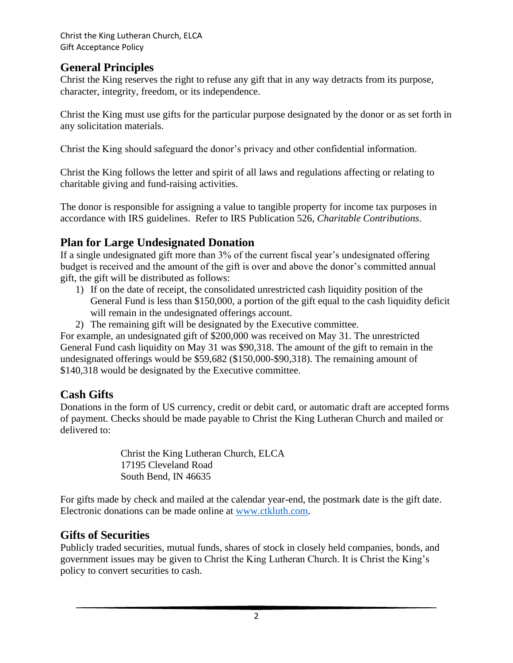## **General Principles**

Christ the King reserves the right to refuse any gift that in any way detracts from its purpose, character, integrity, freedom, or its independence.

Christ the King must use gifts for the particular purpose designated by the donor or as set forth in any solicitation materials.

Christ the King should safeguard the donor's privacy and other confidential information.

Christ the King follows the letter and spirit of all laws and regulations affecting or relating to charitable giving and fund-raising activities.

The donor is responsible for assigning a value to tangible property for income tax purposes in accordance with IRS guidelines. Refer to IRS Publication 526, *Charitable Contributions*.

## **Plan for Large Undesignated Donation**

If a single undesignated gift more than 3% of the current fiscal year's undesignated offering budget is received and the amount of the gift is over and above the donor's committed annual gift, the gift will be distributed as follows:

- 1) If on the date of receipt, the consolidated unrestricted cash liquidity position of the General Fund is less than \$150,000, a portion of the gift equal to the cash liquidity deficit will remain in the undesignated offerings account.
- 2) The remaining gift will be designated by the Executive committee.

For example, an undesignated gift of \$200,000 was received on May 31. The unrestricted General Fund cash liquidity on May 31 was \$90,318. The amount of the gift to remain in the undesignated offerings would be \$59,682 (\$150,000-\$90,318). The remaining amount of \$140,318 would be designated by the Executive committee.

## **Cash Gifts**

Donations in the form of US currency, credit or debit card, or automatic draft are accepted forms of payment. Checks should be made payable to Christ the King Lutheran Church and mailed or delivered to:

> Christ the King Lutheran Church, ELCA 17195 Cleveland Road South Bend, IN 46635

For gifts made by check and mailed at the calendar year-end, the postmark date is the gift date. Electronic donations can be made online at [www.ctkluth.com.](http://www.ctkluth.com/)

## **Gifts of Securities**

Publicly traded securities, mutual funds, shares of stock in closely held companies, bonds, and government issues may be given to Christ the King Lutheran Church. It is Christ the King's policy to convert securities to cash.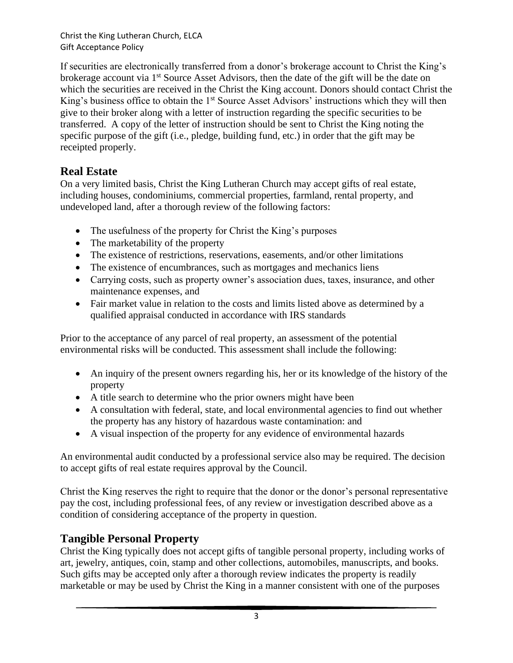If securities are electronically transferred from a donor's brokerage account to Christ the King's brokerage account via 1<sup>st</sup> Source Asset Advisors, then the date of the gift will be the date on which the securities are received in the Christ the King account. Donors should contact Christ the King's business office to obtain the 1<sup>st</sup> Source Asset Advisors' instructions which they will then give to their broker along with a letter of instruction regarding the specific securities to be transferred. A copy of the letter of instruction should be sent to Christ the King noting the specific purpose of the gift (i.e., pledge, building fund, etc.) in order that the gift may be receipted properly.

## **Real Estate**

On a very limited basis, Christ the King Lutheran Church may accept gifts of real estate, including houses, condominiums, commercial properties, farmland, rental property, and undeveloped land, after a thorough review of the following factors:

- The usefulness of the property for Christ the King's purposes
- The marketability of the property
- The existence of restrictions, reservations, easements, and/or other limitations
- The existence of encumbrances, such as mortgages and mechanics liens
- Carrying costs, such as property owner's association dues, taxes, insurance, and other maintenance expenses, and
- Fair market value in relation to the costs and limits listed above as determined by a qualified appraisal conducted in accordance with IRS standards

Prior to the acceptance of any parcel of real property, an assessment of the potential environmental risks will be conducted. This assessment shall include the following:

- An inquiry of the present owners regarding his, her or its knowledge of the history of the property
- A title search to determine who the prior owners might have been
- A consultation with federal, state, and local environmental agencies to find out whether the property has any history of hazardous waste contamination: and
- A visual inspection of the property for any evidence of environmental hazards

An environmental audit conducted by a professional service also may be required. The decision to accept gifts of real estate requires approval by the Council.

Christ the King reserves the right to require that the donor or the donor's personal representative pay the cost, including professional fees, of any review or investigation described above as a condition of considering acceptance of the property in question.

## **Tangible Personal Property**

Christ the King typically does not accept gifts of tangible personal property, including works of art, jewelry, antiques, coin, stamp and other collections, automobiles, manuscripts, and books. Such gifts may be accepted only after a thorough review indicates the property is readily marketable or may be used by Christ the King in a manner consistent with one of the purposes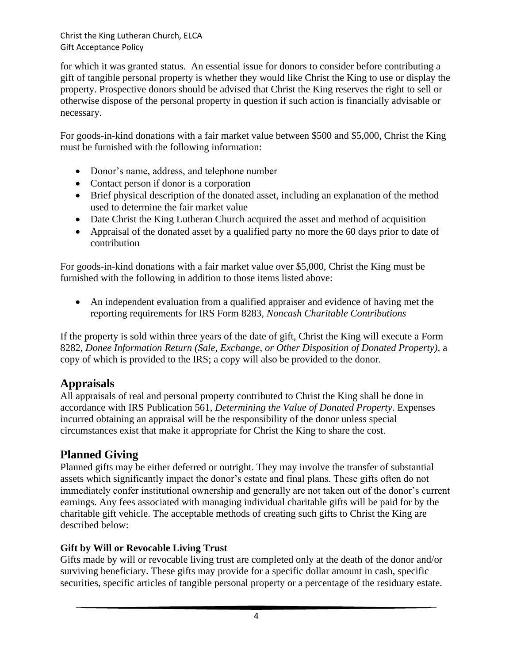for which it was granted status. An essential issue for donors to consider before contributing a gift of tangible personal property is whether they would like Christ the King to use or display the property. Prospective donors should be advised that Christ the King reserves the right to sell or otherwise dispose of the personal property in question if such action is financially advisable or necessary.

For goods-in-kind donations with a fair market value between \$500 and \$5,000, Christ the King must be furnished with the following information:

- Donor's name, address, and telephone number
- Contact person if donor is a corporation
- Brief physical description of the donated asset, including an explanation of the method used to determine the fair market value
- Date Christ the King Lutheran Church acquired the asset and method of acquisition
- Appraisal of the donated asset by a qualified party no more the 60 days prior to date of contribution

For goods-in-kind donations with a fair market value over \$5,000, Christ the King must be furnished with the following in addition to those items listed above:

• An independent evaluation from a qualified appraiser and evidence of having met the reporting requirements for IRS Form 8283, *Noncash Charitable Contributions*

If the property is sold within three years of the date of gift, Christ the King will execute a Form 8282, *Donee Information Return (Sale, Exchange, or Other Disposition of Donated Property)*, a copy of which is provided to the IRS; a copy will also be provided to the donor.

# **Appraisals**

All appraisals of real and personal property contributed to Christ the King shall be done in accordance with IRS Publication 561, *Determining the Value of Donated Property*. Expenses incurred obtaining an appraisal will be the responsibility of the donor unless special circumstances exist that make it appropriate for Christ the King to share the cost.

# **Planned Giving**

Planned gifts may be either deferred or outright. They may involve the transfer of substantial assets which significantly impact the donor's estate and final plans. These gifts often do not immediately confer institutional ownership and generally are not taken out of the donor's current earnings. Any fees associated with managing individual charitable gifts will be paid for by the charitable gift vehicle. The acceptable methods of creating such gifts to Christ the King are described below:

### **Gift by Will or Revocable Living Trust**

Gifts made by will or revocable living trust are completed only at the death of the donor and/or surviving beneficiary. These gifts may provide for a specific dollar amount in cash, specific securities, specific articles of tangible personal property or a percentage of the residuary estate.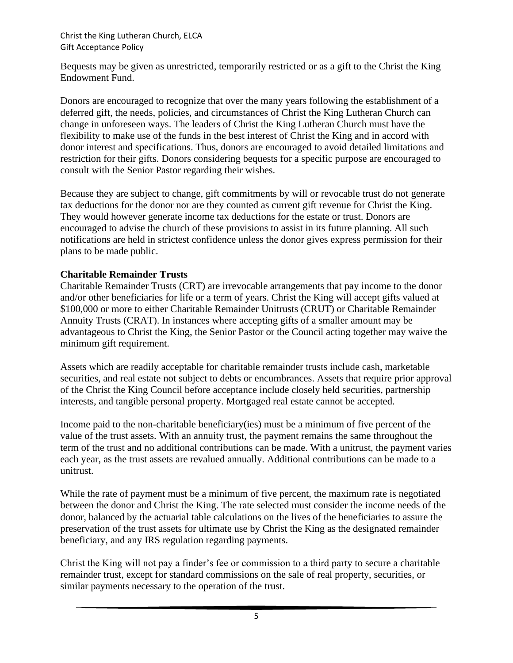Bequests may be given as unrestricted, temporarily restricted or as a gift to the Christ the King Endowment Fund.

Donors are encouraged to recognize that over the many years following the establishment of a deferred gift, the needs, policies, and circumstances of Christ the King Lutheran Church can change in unforeseen ways. The leaders of Christ the King Lutheran Church must have the flexibility to make use of the funds in the best interest of Christ the King and in accord with donor interest and specifications. Thus, donors are encouraged to avoid detailed limitations and restriction for their gifts. Donors considering bequests for a specific purpose are encouraged to consult with the Senior Pastor regarding their wishes.

Because they are subject to change, gift commitments by will or revocable trust do not generate tax deductions for the donor nor are they counted as current gift revenue for Christ the King. They would however generate income tax deductions for the estate or trust. Donors are encouraged to advise the church of these provisions to assist in its future planning. All such notifications are held in strictest confidence unless the donor gives express permission for their plans to be made public.

#### **Charitable Remainder Trusts**

Charitable Remainder Trusts (CRT) are irrevocable arrangements that pay income to the donor and/or other beneficiaries for life or a term of years. Christ the King will accept gifts valued at \$100,000 or more to either Charitable Remainder Unitrusts (CRUT) or Charitable Remainder Annuity Trusts (CRAT). In instances where accepting gifts of a smaller amount may be advantageous to Christ the King, the Senior Pastor or the Council acting together may waive the minimum gift requirement.

Assets which are readily acceptable for charitable remainder trusts include cash, marketable securities, and real estate not subject to debts or encumbrances. Assets that require prior approval of the Christ the King Council before acceptance include closely held securities, partnership interests, and tangible personal property. Mortgaged real estate cannot be accepted.

Income paid to the non-charitable beneficiary(ies) must be a minimum of five percent of the value of the trust assets. With an annuity trust, the payment remains the same throughout the term of the trust and no additional contributions can be made. With a unitrust, the payment varies each year, as the trust assets are revalued annually. Additional contributions can be made to a unitrust.

While the rate of payment must be a minimum of five percent, the maximum rate is negotiated between the donor and Christ the King. The rate selected must consider the income needs of the donor, balanced by the actuarial table calculations on the lives of the beneficiaries to assure the preservation of the trust assets for ultimate use by Christ the King as the designated remainder beneficiary, and any IRS regulation regarding payments.

Christ the King will not pay a finder's fee or commission to a third party to secure a charitable remainder trust, except for standard commissions on the sale of real property, securities, or similar payments necessary to the operation of the trust.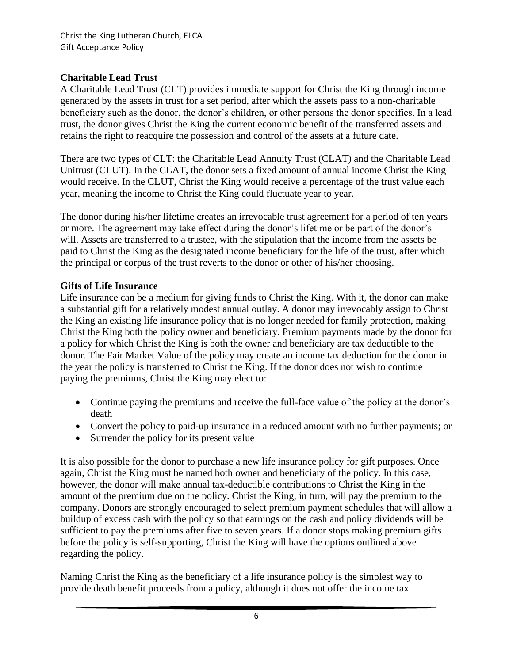### **Charitable Lead Trust**

A Charitable Lead Trust (CLT) provides immediate support for Christ the King through income generated by the assets in trust for a set period, after which the assets pass to a non-charitable beneficiary such as the donor, the donor's children, or other persons the donor specifies. In a lead trust, the donor gives Christ the King the current economic benefit of the transferred assets and retains the right to reacquire the possession and control of the assets at a future date.

There are two types of CLT: the Charitable Lead Annuity Trust (CLAT) and the Charitable Lead Unitrust (CLUT). In the CLAT, the donor sets a fixed amount of annual income Christ the King would receive. In the CLUT, Christ the King would receive a percentage of the trust value each year, meaning the income to Christ the King could fluctuate year to year.

The donor during his/her lifetime creates an irrevocable trust agreement for a period of ten years or more. The agreement may take effect during the donor's lifetime or be part of the donor's will. Assets are transferred to a trustee, with the stipulation that the income from the assets be paid to Christ the King as the designated income beneficiary for the life of the trust, after which the principal or corpus of the trust reverts to the donor or other of his/her choosing.

### **Gifts of Life Insurance**

Life insurance can be a medium for giving funds to Christ the King. With it, the donor can make a substantial gift for a relatively modest annual outlay. A donor may irrevocably assign to Christ the King an existing life insurance policy that is no longer needed for family protection, making Christ the King both the policy owner and beneficiary. Premium payments made by the donor for a policy for which Christ the King is both the owner and beneficiary are tax deductible to the donor. The Fair Market Value of the policy may create an income tax deduction for the donor in the year the policy is transferred to Christ the King. If the donor does not wish to continue paying the premiums, Christ the King may elect to:

- Continue paying the premiums and receive the full-face value of the policy at the donor's death
- Convert the policy to paid-up insurance in a reduced amount with no further payments; or
- Surrender the policy for its present value

It is also possible for the donor to purchase a new life insurance policy for gift purposes. Once again, Christ the King must be named both owner and beneficiary of the policy. In this case, however, the donor will make annual tax-deductible contributions to Christ the King in the amount of the premium due on the policy. Christ the King, in turn, will pay the premium to the company. Donors are strongly encouraged to select premium payment schedules that will allow a buildup of excess cash with the policy so that earnings on the cash and policy dividends will be sufficient to pay the premiums after five to seven years. If a donor stops making premium gifts before the policy is self-supporting, Christ the King will have the options outlined above regarding the policy.

Naming Christ the King as the beneficiary of a life insurance policy is the simplest way to provide death benefit proceeds from a policy, although it does not offer the income tax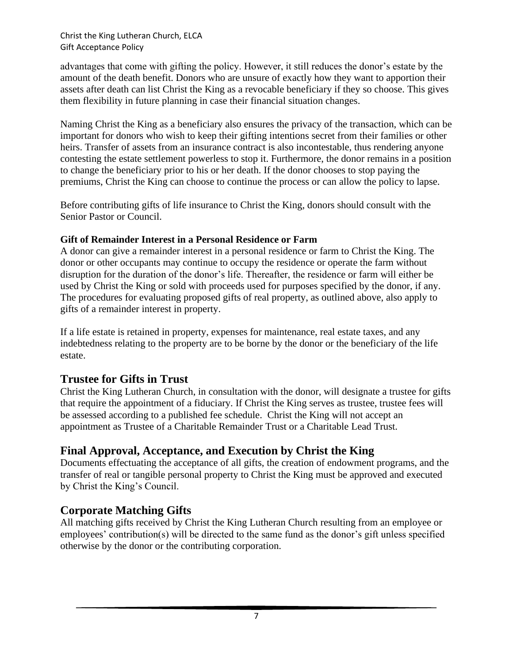advantages that come with gifting the policy. However, it still reduces the donor's estate by the amount of the death benefit. Donors who are unsure of exactly how they want to apportion their assets after death can list Christ the King as a revocable beneficiary if they so choose. This gives them flexibility in future planning in case their financial situation changes.

Naming Christ the King as a beneficiary also ensures the privacy of the transaction, which can be important for donors who wish to keep their gifting intentions secret from their families or other heirs. Transfer of assets from an insurance contract is also incontestable, thus rendering anyone contesting the estate settlement powerless to stop it. Furthermore, the donor remains in a position to change the beneficiary prior to his or her death. If the donor chooses to stop paying the premiums, Christ the King can choose to continue the process or can allow the policy to lapse.

Before contributing gifts of life insurance to Christ the King, donors should consult with the Senior Pastor or Council.

### **Gift of Remainder Interest in a Personal Residence or Farm**

A donor can give a remainder interest in a personal residence or farm to Christ the King. The donor or other occupants may continue to occupy the residence or operate the farm without disruption for the duration of the donor's life. Thereafter, the residence or farm will either be used by Christ the King or sold with proceeds used for purposes specified by the donor, if any. The procedures for evaluating proposed gifts of real property, as outlined above, also apply to gifts of a remainder interest in property.

If a life estate is retained in property, expenses for maintenance, real estate taxes, and any indebtedness relating to the property are to be borne by the donor or the beneficiary of the life estate.

# **Trustee for Gifts in Trust**

Christ the King Lutheran Church, in consultation with the donor, will designate a trustee for gifts that require the appointment of a fiduciary. If Christ the King serves as trustee, trustee fees will be assessed according to a published fee schedule. Christ the King will not accept an appointment as Trustee of a Charitable Remainder Trust or a Charitable Lead Trust.

# **Final Approval, Acceptance, and Execution by Christ the King**

Documents effectuating the acceptance of all gifts, the creation of endowment programs, and the transfer of real or tangible personal property to Christ the King must be approved and executed by Christ the King's Council.

# **Corporate Matching Gifts**

All matching gifts received by Christ the King Lutheran Church resulting from an employee or employees' contribution(s) will be directed to the same fund as the donor's gift unless specified otherwise by the donor or the contributing corporation.